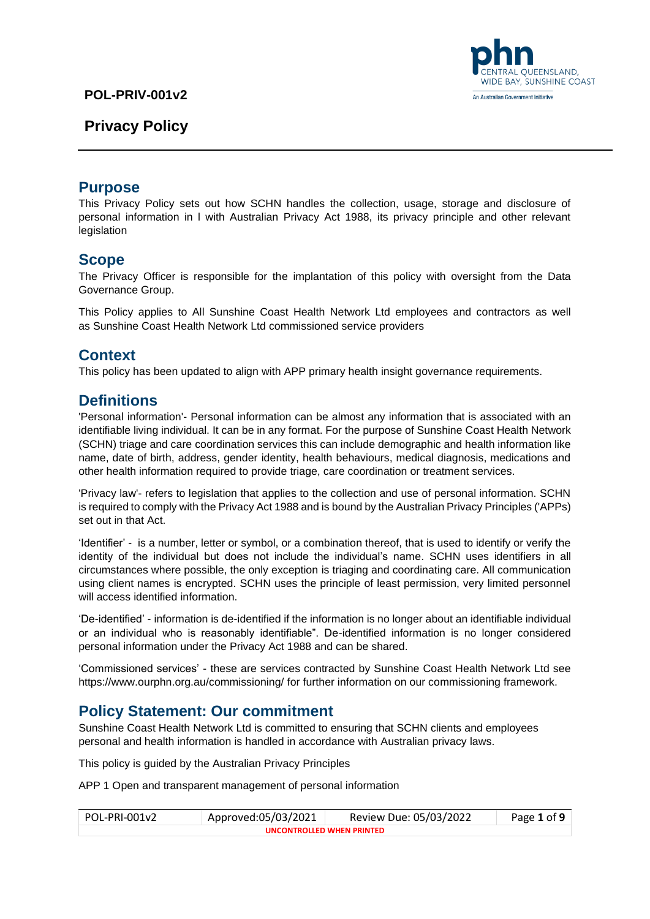# **Privacy Policy**



### **Purpose**

This Privacy Policy sets out how SCHN handles the collection, usage, storage and disclosure of personal information in l with Australian Privacy Act 1988, its privacy principle and other relevant legislation

### **Scope**

The Privacy Officer is responsible for the implantation of this policy with oversight from the Data Governance Group.

This Policy applies to All Sunshine Coast Health Network Ltd employees and contractors as well as Sunshine Coast Health Network Ltd commissioned service providers

# **Context**

This policy has been updated to align with APP primary health insight governance requirements.

### **Definitions**

'Personal information'- Personal information can be almost any information that is associated with an identifiable living individual. It can be in any format. For the purpose of Sunshine Coast Health Network (SCHN) triage and care coordination services this can include demographic and health information like name, date of birth, address, gender identity, health behaviours, medical diagnosis, medications and other health information required to provide triage, care coordination or treatment services.

'Privacy law'- refers to legislation that applies to the collection and use of personal information. SCHN is required to comply with the Privacy Act 1988 and is bound by the Australian Privacy Principles ('APPs) set out in that Act.

'Identifier' - is a number, letter or symbol, or a combination thereof, that is used to identify or verify the identity of the individual but does not include the individual's name. SCHN uses identifiers in all circumstances where possible, the only exception is triaging and coordinating care. All communication using client names is encrypted. SCHN uses the principle of least permission, very limited personnel will access identified information.

'De-identified' - information is de-identified if the information is no longer about an identifiable individual or an individual who is reasonably identifiable". De-identified information is no longer considered personal information under the Privacy Act 1988 and can be shared.

'Commissioned services' - these are services contracted by Sunshine Coast Health Network Ltd see <https://www.ourphn.org.au/commissioning/> for further information on our commissioning framework.

### **Policy Statement: Our commitment**

Sunshine Coast Health Network Ltd is committed to ensuring that SCHN clients and employees personal and health information is handled in accordance with Australian privacy laws.

This policy is guided by the Australian Privacy Principles

APP 1 Open and transparent management of personal information

| POL-PRI-001v2             | Approved:05/03/2021 | Review Due: 05/03/2022 | Page 1 of 9 |  |
|---------------------------|---------------------|------------------------|-------------|--|
| UNCONTROLLED WHEN PRINTED |                     |                        |             |  |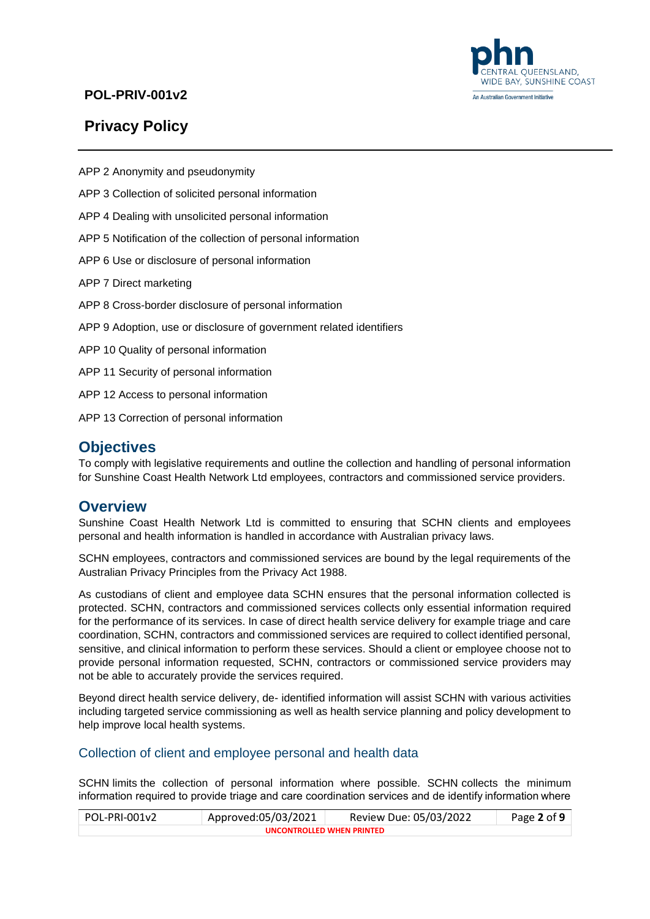

#### An Australian Government Initiative

### **POL-PRIV-001v2**

# **Privacy Policy**

APP 2 Anonymity and pseudonymity

- APP 3 Collection of solicited personal information
- APP 4 Dealing with unsolicited personal information
- APP 5 Notification of the collection of personal information
- APP 6 Use or disclosure of personal information
- APP 7 Direct marketing
- APP 8 Cross-border disclosure of personal information
- APP 9 Adoption, use or disclosure of government related identifiers
- APP 10 Quality of personal information
- APP 11 Security of personal information
- APP 12 Access to personal information
- APP 13 Correction of personal information

### **Objectives**

To comply with legislative requirements and outline the collection and handling of personal information for Sunshine Coast Health Network Ltd employees, contractors and commissioned service providers.

# **Overview**

Sunshine Coast Health Network Ltd is committed to ensuring that SCHN clients and employees personal and health information is handled in accordance with Australian privacy laws.

SCHN employees, contractors and commissioned services are bound by the legal requirements of the Australian Privacy Principles from the Privacy Act 1988.

As custodians of client and employee data SCHN ensures that the personal information collected is protected. SCHN, contractors and commissioned services collects only essential information required for the performance of its services. In case of direct health service delivery for example triage and care coordination, SCHN, contractors and commissioned services are required to collect identified personal, sensitive, and clinical information to perform these services. Should a client or employee choose not to provide personal information requested, SCHN, contractors or commissioned service providers may not be able to accurately provide the services required.

Beyond direct health service delivery, de- identified information will assist SCHN with various activities including targeted service commissioning as well as health service planning and policy development to help improve local health systems.

#### Collection of client and employee personal and health data

SCHN limits the collection of personal information where possible. SCHN collects the minimum information required to provide triage and care coordination services and de identify information where

| POL-PRI-001v2             | Approved:05/03/2021 | Review Due: 05/03/2022 | Page 2 of 9 |  |
|---------------------------|---------------------|------------------------|-------------|--|
| UNCONTROLLED WHEN PRINTED |                     |                        |             |  |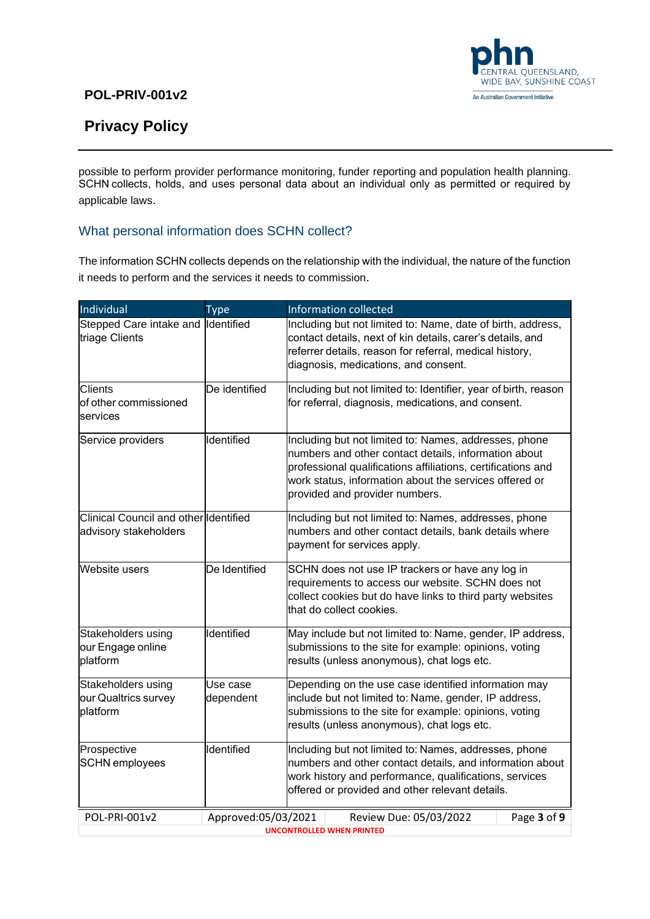

# **Privacy Policy**

 $\overline{a}$ 

possible to perform provider performance monitoring, funder reporting and population health planning. SCHN collects, holds, and uses personal data about an individual only as permitted or required by applicable laws.  

### What personal information does SCHN collect?

The information SCHN collects depends on the relationship with the individual, the nature of the function it needs to perform and the services it needs to commission.  

| Individual                                                     | <b>Type</b>           | <b>Information collected</b>                                                                                                                                                                                                                                              |  |
|----------------------------------------------------------------|-----------------------|---------------------------------------------------------------------------------------------------------------------------------------------------------------------------------------------------------------------------------------------------------------------------|--|
| Stepped Care intake and Identified<br>triage Clients           |                       | Including but not limited to: Name, date of birth, address,<br>contact details, next of kin details, carer's details, and<br>referrer details, reason for referral, medical history,<br>diagnosis, medications, and consent.                                              |  |
| <b>Clients</b><br>of other commissioned<br>services            | De identified         | Including but not limited to: Identifier, year of birth, reason<br>for referral, diagnosis, medications, and consent.                                                                                                                                                     |  |
| Service providers                                              | Identified            | Including but not limited to: Names, addresses, phone<br>numbers and other contact details, information about<br>professional qualifications affiliations, certifications and<br>work status, information about the services offered or<br>provided and provider numbers. |  |
| Clinical Council and other Identified<br>advisory stakeholders |                       | Including but not limited to: Names, addresses, phone<br>numbers and other contact details, bank details where<br>payment for services apply.                                                                                                                             |  |
| <b>Website users</b>                                           | De Identified         | SCHN does not use IP trackers or have any log in<br>requirements to access our website. SCHN does not<br>collect cookies but do have links to third party websites<br>that do collect cookies.                                                                            |  |
| Stakeholders using<br>our Engage online<br>platform            | Identified            | May include but not limited to: Name, gender, IP address,<br>submissions to the site for example: opinions, voting<br>results (unless anonymous), chat logs etc.                                                                                                          |  |
| Stakeholders using<br>our Qualtrics survey<br>platform         | Use case<br>dependent | Depending on the use case identified information may<br>include but not limited to: Name, gender, IP address,<br>submissions to the site for example: opinions, voting<br>results (unless anonymous), chat logs etc.                                                      |  |
| Prospective<br><b>SCHN</b> employees                           | Identified            | Including but not limited to: Names, addresses, phone<br>numbers and other contact details, and information about<br>work history and performance, qualifications, services<br>offered or provided and other relevant details.                                            |  |
| POL-PRI-001v2                                                  | Approved:05/03/2021   | Review Due: 05/03/2022<br>Page 3 of 9<br><b>UNCONTROLLED WHEN PRINTED</b>                                                                                                                                                                                                 |  |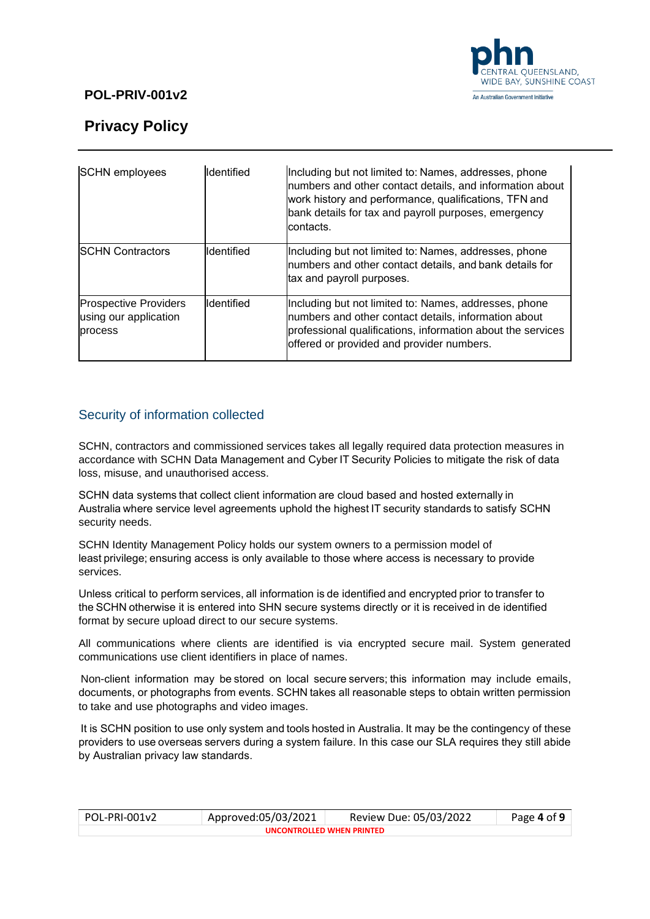

# **Privacy Policy**

| <b>SCHN</b> employees                                            | Identified | Including but not limited to: Names, addresses, phone<br>numbers and other contact details, and information about<br>work history and performance, qualifications, TFN and<br>bank details for tax and payroll purposes, emergency<br>contacts. |
|------------------------------------------------------------------|------------|-------------------------------------------------------------------------------------------------------------------------------------------------------------------------------------------------------------------------------------------------|
| <b>ISCHN Contractors</b>                                         | Identified | Including but not limited to: Names, addresses, phone<br>numbers and other contact details, and bank details for<br>tax and payroll purposes.                                                                                                   |
| <b>Prospective Providers</b><br>using our application<br>process | Identified | Including but not limited to: Names, addresses, phone<br>numbers and other contact details, information about<br>professional qualifications, information about the services<br>offered or provided and provider numbers.                       |

### Security of information collected

SCHN, contractors and commissioned services takes all legally required data protection measures in accordance with SCHN Data Management and Cyber IT Security Policies to mitigate the risk of data loss, misuse, and unauthorised access.

SCHN data systems that collect client information are cloud based and hosted externally in Australia where service level agreements uphold the highest IT security standards to satisfy SCHN security needs.   

SCHN Identity Management Policy holds our system owners to a permission model of least privilege; ensuring access is only available to those where access is necessary to provide services.

Unless critical to perform services, all information is de identified and encrypted prior to transfer to the SCHN otherwise it is entered into SHN secure systems directly or it is received in de identified format by secure upload direct to our secure systems.

All communications where clients are identified is via encrypted secure mail. System generated communications use client identifiers in place of names.

Non-client information may be stored on local secure servers; this information may include emails, documents, or photographs from events. SCHN takes all reasonable steps to obtain written permission to take and use photographs and video images.

It is SCHN position to use only system and tools hosted in Australia. It may be the contingency of these providers to use overseas servers during a system failure. In this case our SLA requires they still abide by Australian privacy law standards.  

| POL-PRI-001v2             | Approved:05/03/2021 | Review Due: 05/03/2022 | Page 4 of 9 |  |
|---------------------------|---------------------|------------------------|-------------|--|
| UNCONTROLLED WHEN PRINTED |                     |                        |             |  |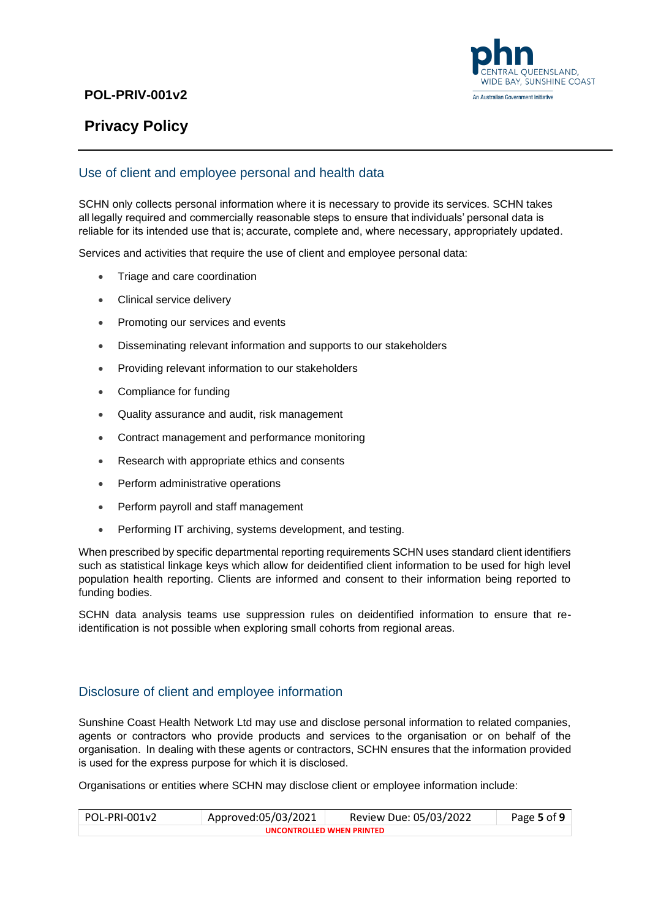

# **Privacy Policy**

### Use of client and employee personal and health data

SCHN only collects personal information where it is necessary to provide its services. SCHN takes all legally required and commercially reasonable steps to ensure that individuals' personal data is reliable for its intended use that is; accurate, complete and, where necessary, appropriately updated. 

Services and activities that require the use of client and employee personal data:

- Triage and care coordination
- Clinical service delivery
- Promoting our services and events
- Disseminating relevant information and supports to our stakeholders
- Providing relevant information to our stakeholders
- Compliance for funding
- Quality assurance and audit, risk management
- Contract management and performance monitoring
- Research with appropriate ethics and consents
- Perform administrative operations
- Perform payroll and staff management
- Performing IT archiving, systems development, and testing.

When prescribed by specific departmental reporting requirements SCHN uses standard client identifiers such as statistical linkage keys which allow for deidentified client information to be used for high level population health reporting. Clients are informed and consent to their information being reported to funding bodies.

SCHN data analysis teams use suppression rules on deidentified information to ensure that reidentification is not possible when exploring small cohorts from regional areas.

#### Disclosure of client and employee information

Sunshine Coast Health Network Ltd may use and disclose personal information to related companies, agents or contractors who provide products and services to the organisation or on behalf of the organisation.  In dealing with these agents or contractors, SCHN ensures that the information provided is used for the express purpose for which it is disclosed. 

Organisations or entities where SCHN may disclose client or employee information include:

| POL-PRI-001v2             | Approved:05/03/2021 | Review Due: 05/03/2022 | Page 5 of 9 |  |
|---------------------------|---------------------|------------------------|-------------|--|
| UNCONTROLLED WHEN PRINTED |                     |                        |             |  |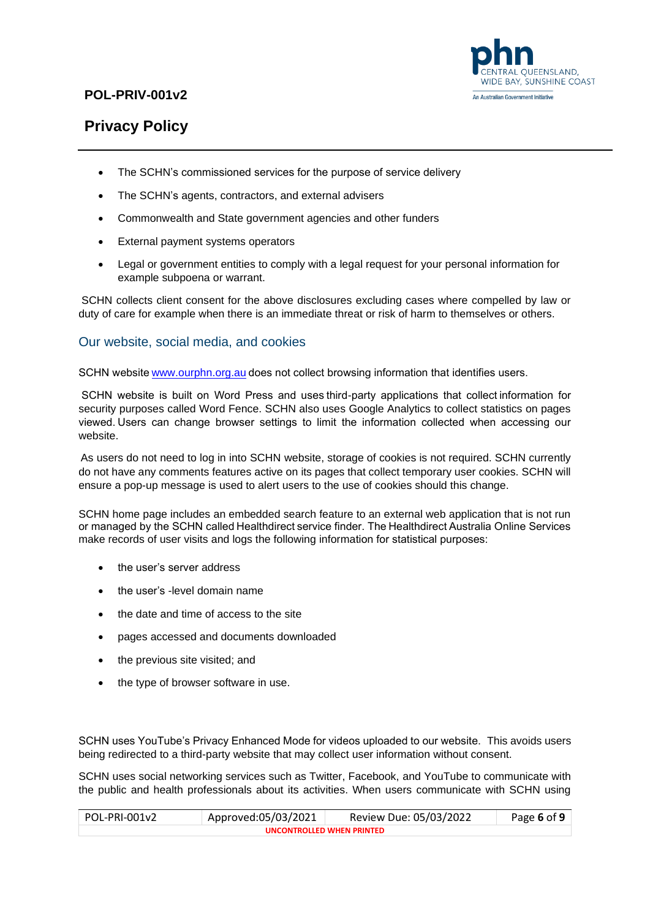

# **Privacy Policy**

- The SCHN's commissioned services for the purpose of service delivery
- The SCHN's agents, contractors, and external advisers
- Commonwealth and State government agencies and other funders
- External payment systems operators
- Legal or government entities to comply with a legal request for your personal information for example subpoena or warrant.

SCHN collects client consent for the above disclosures excluding cases where compelled by law or duty of care for example when there is an immediate threat or risk of harm to themselves or others.

### Our website, social media, and cookies

SCHN website www.ourphn.org.au does not collect browsing information that identifies users.

SCHN website is built on Word Press and uses third-party applications that collect information for security purposes called Word Fence. SCHN also uses Google Analytics to collect statistics on pages viewed. Users can change browser settings to limit the information collected when accessing our website.

As users do not need to log in into SCHN website, storage of cookies is not required. SCHN currently do not have any comments features active on its pages that collect temporary user cookies. SCHN will ensure a pop-up message is used to alert users to the use of cookies should this change.

SCHN home page includes an embedded search feature to an external web application that is not run or managed by the SCHN called Healthdirect service finder. The Healthdirect Australia Online Services make records of user visits and logs the following information for statistical purposes:  

- the user's server address
- the user's -level domain name
- the date and time of access to the site
- pages accessed and documents downloaded
- the previous site visited; and
- the type of browser software in use.

SCHN uses YouTube's Privacy Enhanced Mode for videos uploaded to our website. This avoids users being redirected to a third-party website that may collect user information without consent.

SCHN uses social networking services such as Twitter, Facebook, and YouTube to communicate with the public and health professionals about its activities. When users communicate with SCHN using

| POL-PRI-001v2             | Approved:05/03/2021 | Review Due: 05/03/2022 | Page 6 of 9 |  |
|---------------------------|---------------------|------------------------|-------------|--|
| UNCONTROLLED WHEN PRINTED |                     |                        |             |  |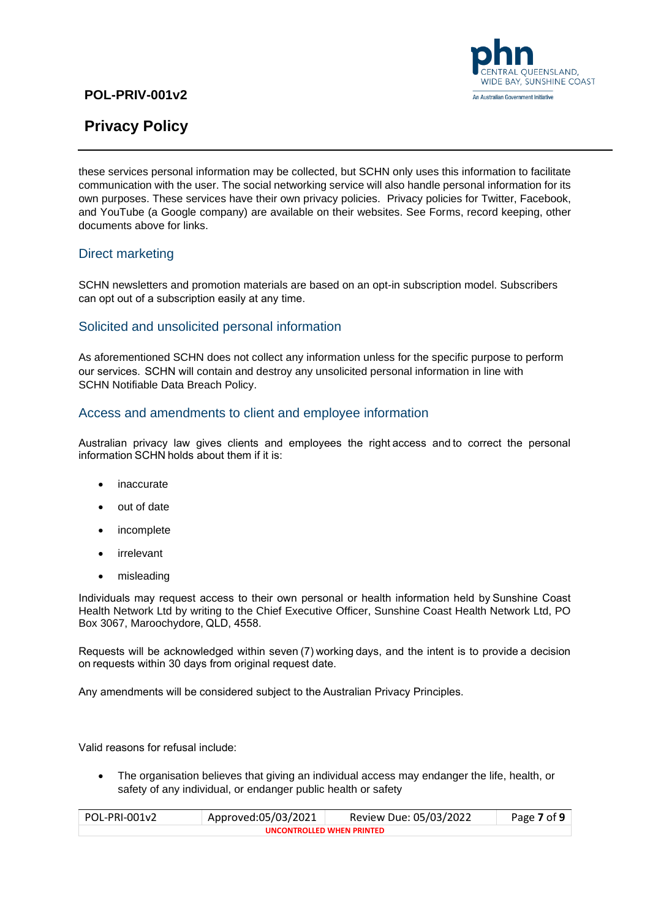



these services personal information may be collected, but SCHN only uses this information to facilitate communication with the user. The social networking service will also handle personal information for its own purposes. These services have their own privacy policies. Privacy policies for Twitter, Facebook, and YouTube (a Google company) are available on their websites. See Forms, record keeping, other documents above for links.

#### Direct marketing

SCHN newsletters and promotion materials are based on an opt-in subscription model. Subscribers can opt out of a subscription easily at any time.  

### Solicited and unsolicited personal information

As aforementioned SCHN does not collect any information unless for the specific purpose to perform our services.  SCHN will contain and destroy any unsolicited personal information in line with SCHN Notifiable Data Breach Policy.

### Access and amendments to client and employee information

Australian privacy law gives clients and employees the right access and to correct the personal information SCHN holds about them if it is: 

- **inaccurate**
- out of date
- incomplete
- irrelevant
- misleading

Individuals may request access to their own personal or health information held by Sunshine Coast Health Network Ltd by writing to the Chief Executive Officer, Sunshine Coast Health Network Ltd, PO Box 3067, Maroochydore, QLD, 4558. 

Requests will be acknowledged within seven (7) working days, and the intent is to provide a decision on requests within 30 days from original request date.  

Any amendments will be considered subject to the Australian Privacy Principles.

Valid reasons for refusal include:  

• The organisation believes that giving an individual access may endanger the life, health, or safety of any individual, or endanger public health or safety

| POL-PRI-001v2             | Approved:05/03/2021 | Review Due: 05/03/2022 | Page 7 of 9 |  |
|---------------------------|---------------------|------------------------|-------------|--|
| UNCONTROLLED WHEN PRINTFD |                     |                        |             |  |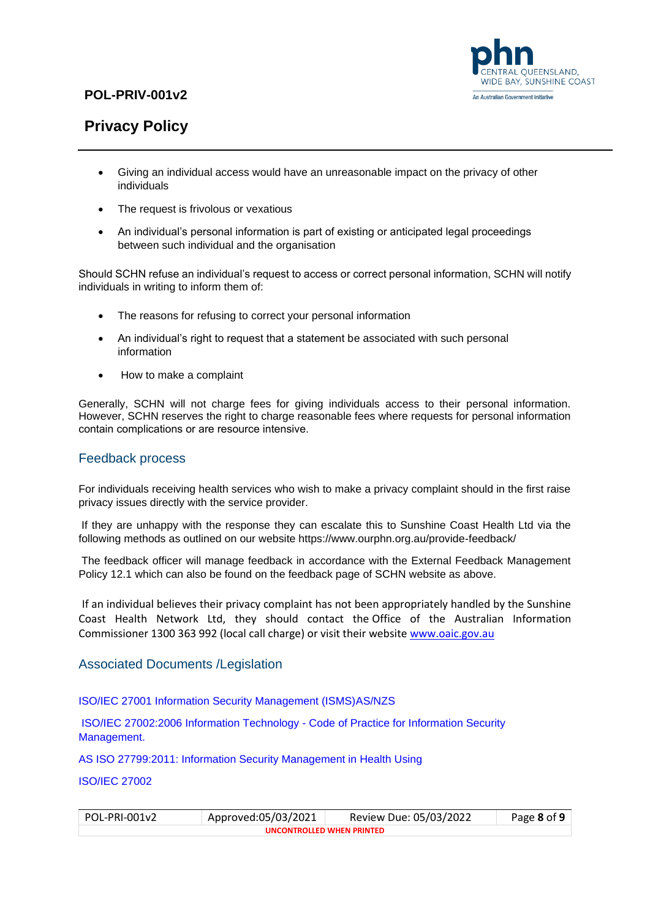

# **Privacy Policy**

- Giving an individual access would have an unreasonable impact on the privacy of other individuals
- The request is frivolous or vexatious
- An individual's personal information is part of existing or anticipated legal proceedings between such individual and the organisation

Should SCHN refuse an individual's request to access or correct personal information, SCHN will notify individuals in writing to inform them of:

- The reasons for refusing to correct your personal information
- An individual's right to request that a statement be associated with such personal information
- How to make a complaint

Generally, SCHN will not charge fees for giving individuals access to their personal information. However, SCHN reserves the right to charge reasonable fees where requests for personal information contain complications or are resource intensive.  

#### Feedback process

For individuals receiving health services who wish to make a privacy complaint should in the first raise privacy issues directly with the service provider.

If they are unhappy with the response they can escalate this to Sunshine Coast Health Ltd via the following methods as outlined on our website https://www.ourphn.org.au/provide-feedback/

The feedback officer will manage feedback in accordance with the External Feedback Management Policy 12.1 which can also be found on the feedback page of SCHN website as above.

If an individual believes their privacy complaint has not been appropriately handled by the Sunshine Coast Health Network Ltd, they should contact the Office of the Australian Information Commissioner 1300 363 992 (local call charge) or visit their website [www.oaic.gov.au](http://www.oaic.gov.au/%22%20/t%20%22_blank)

#### Associated Documents /Legislation

ISO/IEC 27001 Information Security Management (ISMS)AS/NZS

ISO/IEC 27002:2006 Information Technology - Code of Practice for Information Security Management.

AS ISO 27799:2011: Information Security Management in Health Using

ISO/IEC 27002

| POL-PRI-001v2             | Approved:05/03/2021 | Review Due: 05/03/2022 | Page 8 of 9 |  |
|---------------------------|---------------------|------------------------|-------------|--|
| UNCONTROLLED WHEN PRINTED |                     |                        |             |  |